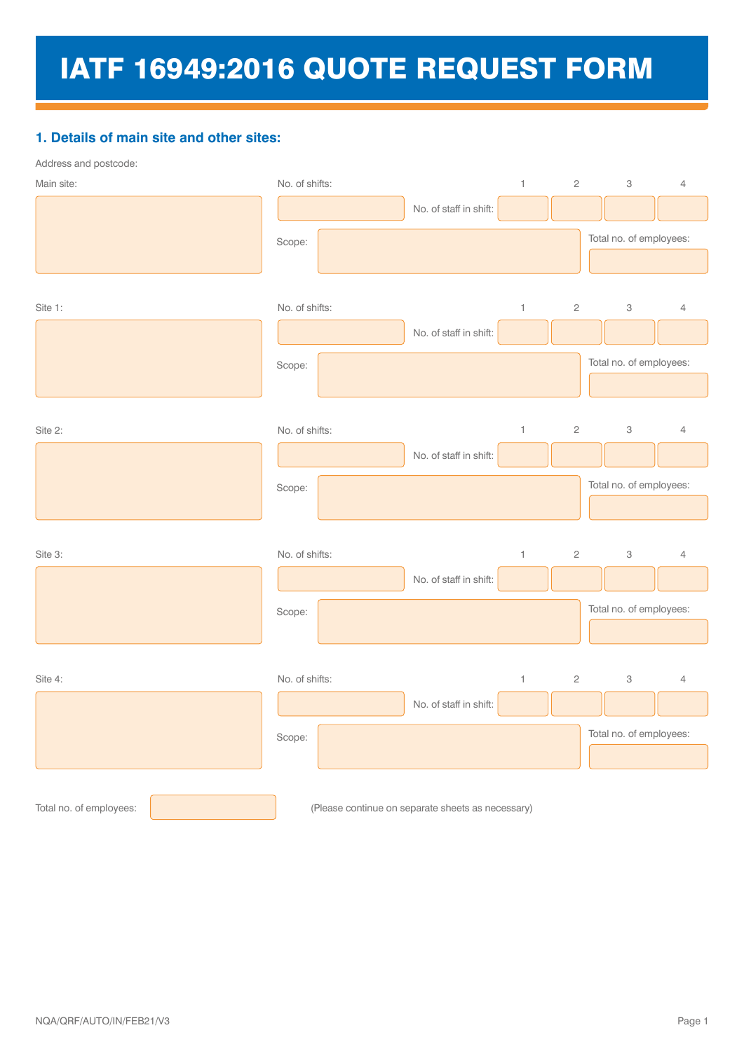# IATF 16949:2016 QUOTE REQUEST FORM

## **1. Details of main site and other sites:**

Address and postcode:

| Main site: | No. of shifts: |  |                        | $\mathbf{1}$  | $\sqrt{2}$              | $\ensuremath{\mathsf{3}}$ | $\overline{4}$ |  |
|------------|----------------|--|------------------------|---------------|-------------------------|---------------------------|----------------|--|
|            |                |  | No. of staff in shift: |               |                         |                           |                |  |
|            | Scope:         |  |                        |               |                         | Total no. of employees:   |                |  |
|            |                |  |                        |               |                         |                           |                |  |
|            |                |  |                        |               |                         |                           |                |  |
| Site 1:    | No. of shifts: |  |                        | $\uparrow$    | $\mathbf 2$             | $\ensuremath{\mathsf{3}}$ | $\overline{4}$ |  |
|            |                |  | No. of staff in shift: |               |                         |                           |                |  |
|            | Scope:         |  |                        |               | Total no. of employees: |                           |                |  |
|            |                |  |                        |               |                         |                           |                |  |
| Site 2:    | No. of shifts: |  |                        | $\mathbbm{1}$ | $\sqrt{2}$              | $\ensuremath{\mathsf{3}}$ | $\overline{4}$ |  |
|            |                |  | No. of staff in shift: |               |                         |                           |                |  |
|            |                |  |                        |               |                         |                           |                |  |
|            | Scope:         |  |                        |               | Total no. of employees: |                           |                |  |
|            |                |  |                        |               |                         |                           |                |  |
| Site 3:    | No. of shifts: |  |                        | $\mathbf{1}$  | $\sqrt{2}$              | $\ensuremath{\mathsf{3}}$ | $\overline{4}$ |  |
|            |                |  | No. of staff in shift: |               |                         |                           |                |  |
|            | Scope:         |  |                        |               |                         | Total no. of employees:   |                |  |
|            |                |  |                        |               |                         |                           |                |  |
|            |                |  |                        |               |                         |                           |                |  |
| Site 4:    | No. of shifts: |  |                        | $\mathbf{1}$  | $\sqrt{2}$              | $\ensuremath{\mathsf{3}}$ | $\overline{4}$ |  |
|            |                |  | No. of staff in shift: |               |                         |                           |                |  |
|            | Scope:         |  |                        |               | Total no. of employees: |                           |                |  |
|            |                |  |                        |               |                         |                           |                |  |
|            |                |  |                        |               |                         |                           |                |  |

Total no. of employees: (Please continue on separate sheets as necessary)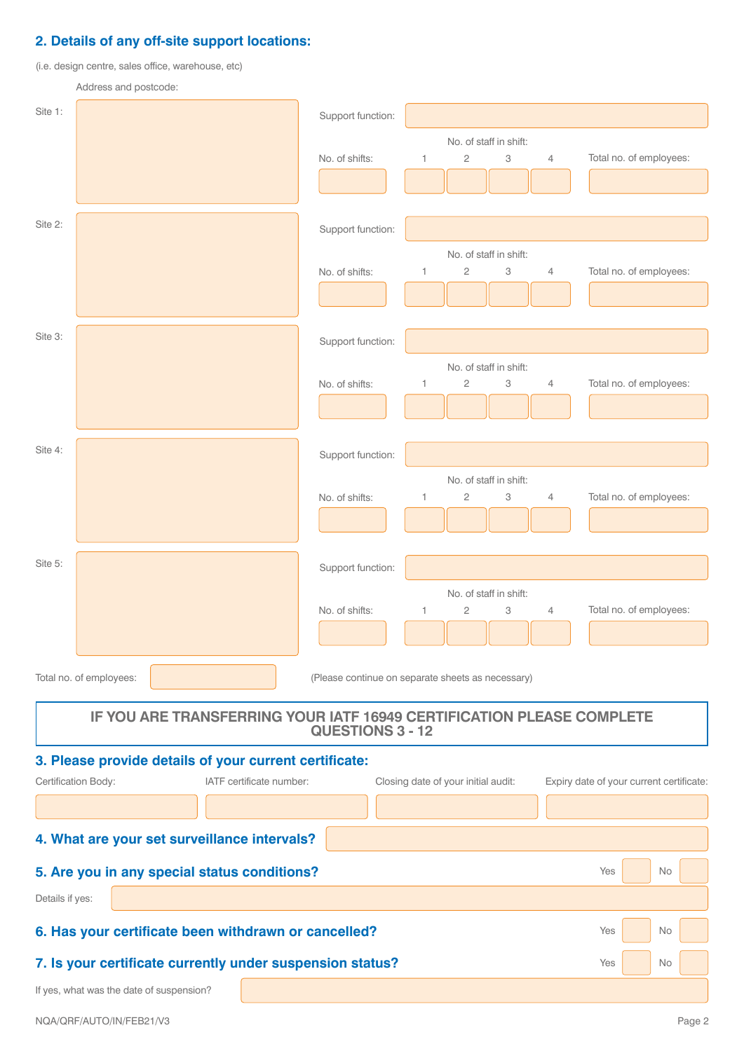# **2. Details of any off-site support locations:**

(i.e. design centre, sales office, warehouse, etc)

|                 | Address and postcode:                    |                                                        |                                                           |                                                                       |                                          |
|-----------------|------------------------------------------|--------------------------------------------------------|-----------------------------------------------------------|-----------------------------------------------------------------------|------------------------------------------|
| Site 1:         |                                          |                                                        | Support function:                                         |                                                                       |                                          |
|                 |                                          |                                                        |                                                           | No. of staff in shift:                                                |                                          |
|                 |                                          |                                                        | No. of shifts:                                            | $\mathbf{2}$<br>3<br>1<br>$\overline{4}$                              | Total no. of employees:                  |
|                 |                                          |                                                        |                                                           |                                                                       |                                          |
|                 |                                          |                                                        |                                                           |                                                                       |                                          |
| Site 2:         |                                          |                                                        | Support function:                                         |                                                                       |                                          |
|                 |                                          |                                                        |                                                           | No. of staff in shift:                                                |                                          |
|                 |                                          |                                                        | No. of shifts:                                            | $\mathbf{2}$<br>3<br>1<br>4                                           | Total no. of employees:                  |
|                 |                                          |                                                        |                                                           |                                                                       |                                          |
|                 |                                          |                                                        |                                                           |                                                                       |                                          |
| Site 3:         |                                          |                                                        | Support function:                                         |                                                                       |                                          |
|                 |                                          |                                                        |                                                           |                                                                       |                                          |
|                 |                                          |                                                        | No. of shifts:                                            | No. of staff in shift:<br>$\mathbf{2}$<br>3<br>1<br>$\overline{4}$    | Total no. of employees:                  |
|                 |                                          |                                                        |                                                           |                                                                       |                                          |
|                 |                                          |                                                        |                                                           |                                                                       |                                          |
| Site 4:         |                                          |                                                        | Support function:                                         |                                                                       |                                          |
|                 |                                          |                                                        |                                                           |                                                                       |                                          |
|                 |                                          |                                                        | No. of shifts:                                            | No. of staff in shift:<br>$\mathbf{2}$<br>3<br>4                      | Total no. of employees:                  |
|                 |                                          |                                                        |                                                           |                                                                       |                                          |
|                 |                                          |                                                        |                                                           |                                                                       |                                          |
| Site 5:         |                                          |                                                        |                                                           |                                                                       |                                          |
|                 |                                          |                                                        | Support function:                                         |                                                                       |                                          |
|                 |                                          |                                                        | No. of shifts:                                            | No. of staff in shift:<br>$\mathbf{2}$<br>3<br>4<br>1                 | Total no. of employees:                  |
|                 |                                          |                                                        |                                                           |                                                                       |                                          |
|                 |                                          |                                                        |                                                           |                                                                       |                                          |
|                 | Total no. of employees:                  |                                                        |                                                           | (Please continue on separate sheets as necessary)                     |                                          |
|                 |                                          |                                                        |                                                           |                                                                       |                                          |
|                 |                                          |                                                        |                                                           | IF YOU ARE TRANSFERRING YOUR IATF 16949 CERTIFICATION PLEASE COMPLETE |                                          |
|                 |                                          |                                                        | <b>QUESTIONS 3 - 12</b>                                   |                                                                       |                                          |
|                 |                                          | 3. Please provide details of your current certificate: |                                                           |                                                                       |                                          |
|                 | Certification Body:                      | IATF certificate number:                               |                                                           | Closing date of your initial audit:                                   | Expiry date of your current certificate: |
|                 |                                          |                                                        |                                                           |                                                                       |                                          |
|                 |                                          |                                                        |                                                           |                                                                       |                                          |
|                 |                                          | 4. What are your set surveillance intervals?           |                                                           |                                                                       |                                          |
|                 |                                          | 5. Are you in any special status conditions?           |                                                           |                                                                       | Yes<br>No                                |
| Details if yes: |                                          |                                                        |                                                           |                                                                       |                                          |
|                 |                                          |                                                        |                                                           |                                                                       |                                          |
|                 |                                          |                                                        | 6. Has your certificate been withdrawn or cancelled?      |                                                                       | Yes<br>No                                |
|                 |                                          |                                                        | 7. Is your certificate currently under suspension status? |                                                                       | Yes<br>No                                |
|                 | If yes, what was the date of suspension? |                                                        |                                                           |                                                                       |                                          |